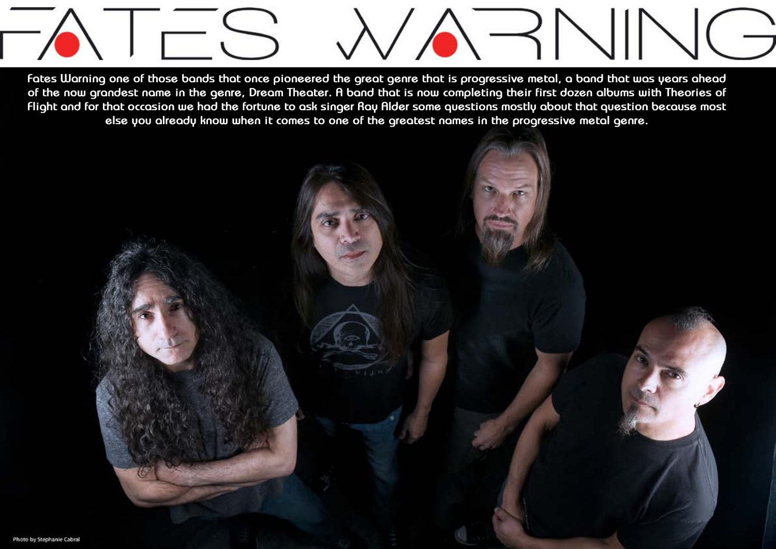

**Fates Warning one of those bands that once pioneered the great genre that is progressive metal, a band that was years ahead of the now grandest name in the genre, Dream Theater. A band that is now completing their first dozen albums with Theories of Flight and for that occasion we had the fortune to ask singer Ray Alder some questions mostly about that question because most else you already know when it comes to one of the greatest names in the progressive metal genre.**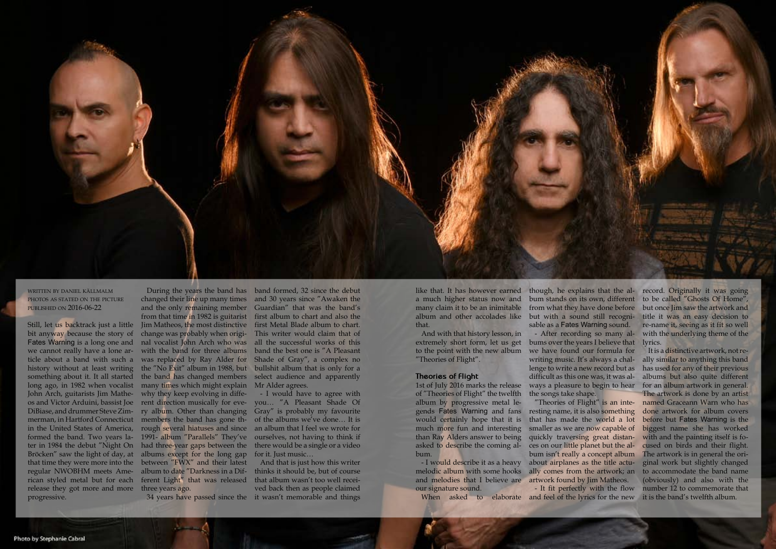Design by Daniel Källmalm **3 4**



written by daniel källmalm PHOTOS AS STATED ON THE PICTURE published on 2016-06-22

Still, let us backtrack just a little Jim Matheos, the most distinctive bit anyway because the story of Fates Warning is a long one and we cannot really have a lone article about a band with such a history without at least writing something about it. It all started long ago, in 1982 when vocalist John Arch, guitarists Jim Matheos and Victor Arduini, bassist Joe DiBiase, and drummer Steve Zimmerman, in Hartford Connecticut members the band has gone thin the United States of America, formed the band. Two years later in 1984 the debut "Night On had three-year gaps between the Bröcken" saw the light of day, at albums except for the long gap that time they were more into the regular NWOBHM meets American styled metal but for each ferent Light" that was released release they got more and more three years ago. progressive.

changed their line up many times and the only remaining member Guardian" that was the band's from that time in 1982 is guitarist change was probably when original vocalist John Arch who was with the band for three albums was replaced by Ray Alder for the "No Exit" album in 1988, but the band has changed members many times which might explain why they keep evolving in different direction musically for every album. Other than changing rough several hiatuses and since 1991- album "Parallels" They've between "FWX" and their latest album to date "Darkness in a Dif-

During the years the band has band formed, 32 since the debut and 30 years since "Awaken the first album to chart and also the first Metal Blade album to chart. This writer would claim that of all the successful works of this band the best one is "A Pleasant Shade of Gray", a complex no bullshit album that is only for a select audience and apparently Mr Alder agrees.

> gends Fates Warning and fans resting name, it is also something "Theories of Flight" is an intethat has made the world a lot smaller as we are now capable of ces on our little planet but the album isn't really a concept album about airplanes as the title actually comes from the artwork; an

34 years have passed since the it wasn't memorable and things And that is just how this writer thinks it should be, but of course that album wasn't too well received back then as people claimed

- I would have to agree with you… "A Pleasant Shade Of Gray" is probably my favourite of the albums we've done… It is an album that I feel we wrote for ourselves, not having to think if there would be a single or a video for it. Just music…

like that. It has however earned a much higher status now and many claim it to be an inimitable album and other accolades like that.

And with that history lesson, in extremely short form, let us get to the point with the new album "Theories of Flight".

## **Theories of Flight**

1st of July 2016 marks the release of "Theories of Flight" the twelfth album by progressive metal lewould certainly hope that it is much more fun and interesting than Ray Alders answer to being quickly traversing great distanasked to describe the coming album.

- I would describe it as a heavy melodic album with some hooks and melodies that I believe are artwork found by Jim Matheos. our signature sound.

though, he explains that the al-record. Originally it was going bum stands on its own, different but with a sound still recognisable as a Fates Warning sound. - After recording so many albums over the years I believe that we have found our formula for writing music. It's always a chal-

lenge to write a new record but as difficult as this one was, it was always a pleasure to begin to hear the songs take shape.

When asked to elaborate and feel of the lyrics for the new - It fit perfectly with the flow

from what they have done before but once Jim saw the artwork and to be called "Ghosts Of Home", title it was an easy decision to re-name it, seeing as it fit so well with the underlying theme of the lyrics.

> It is a distinctive artwork, not really similar to anything this band has used for any of their previous albums but also quite different for an album artwork in general. The artwork is done by an artist named Graceann Warn who has done artwork for album covers before but Fates Warning is the biggest name she has worked with and the painting itself is focused on birds and their flight. The artwork is in general the original work but slightly changed to accommodate the band name (obviously) and also with the number 12 to commemorate that it is the band's twelfth album.